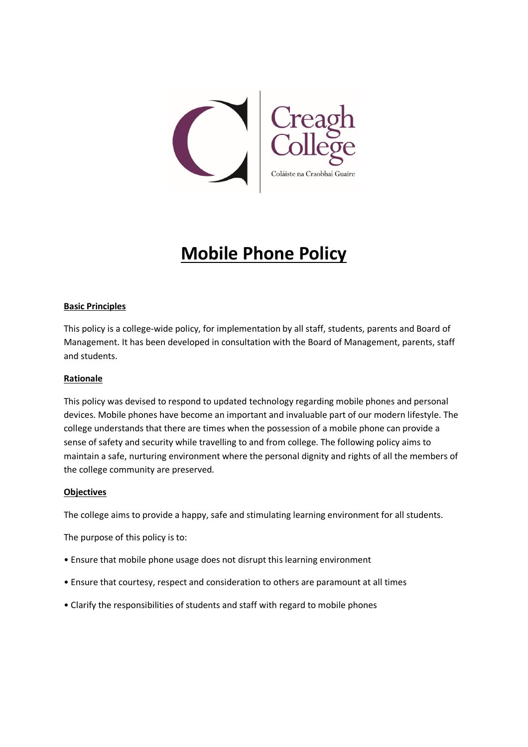

# **Mobile Phone Policy**

# **Basic Principles**

This policy is a college-wide policy, for implementation by all staff, students, parents and Board of Management. It has been developed in consultation with the Board of Management, parents, staff and students.

#### **Rationale**

This policy was devised to respond to updated technology regarding mobile phones and personal devices. Mobile phones have become an important and invaluable part of our modern lifestyle. The college understands that there are times when the possession of a mobile phone can provide a sense of safety and security while travelling to and from college. The following policy aims to maintain a safe, nurturing environment where the personal dignity and rights of all the members of the college community are preserved.

#### **Objectives**

The college aims to provide a happy, safe and stimulating learning environment for all students.

The purpose of this policy is to:

- Ensure that mobile phone usage does not disrupt this learning environment
- Ensure that courtesy, respect and consideration to others are paramount at all times
- Clarify the responsibilities of students and staff with regard to mobile phones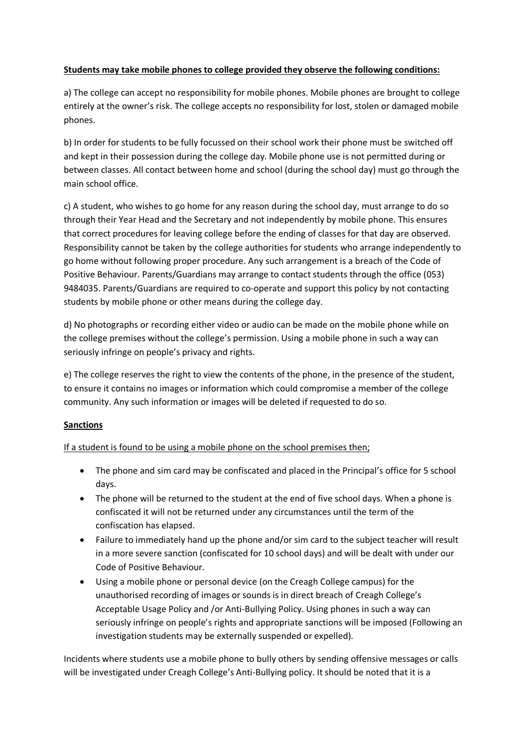# **Students may take mobile phones to college provided they observe the following conditions:**

a) The college can accept no responsibility for mobile phones. Mobile phones are brought to college entirely at the owner's risk. The college accepts no responsibility for lost, stolen or damaged mobile phones.

b) In order for students to be fully focussed on their school work their phone must be switched off and kept in their possession during the college day. Mobile phone use is not permitted during or between classes. All contact between home and school (during the school day) must go through the main school office.

c) A student, who wishes to go home for any reason during the school day, must arrange to do so through their Year Head and the Secretary and not independently by mobile phone. This ensures that correct procedures for leaving college before the ending of classes for that day are observed. Responsibility cannot be taken by the college authorities for students who arrange independently to go home without following proper procedure. Any such arrangement is a breach of the Code of Positive Behaviour. Parents/Guardians may arrange to contact students through the office (053) 9484035. Parents/Guardians are required to co-operate and support this policy by not contacting students by mobile phone or other means during the college day.

d) No photographs or recording either video or audio can be made on the mobile phone while on the college premises without the college's permission. Using a mobile phone in such a way can seriously infringe on people's privacy and rights.

e) The college reserves the right to view the contents of the phone, in the presence of the student, to ensure it contains no images or information which could compromise a member of the college community. Any such information or images will be deleted if requested to do so.

# **Sanctions**

If a student is found to be using a mobile phone on the school premises then;

- The phone and sim card may be confiscated and placed in the Principal's office for 5 school days.
- The phone will be returned to the student at the end of five school days. When a phone is confiscated it will not be returned under any circumstances until the term of the confiscation has elapsed.
- Failure to immediately hand up the phone and/or sim card to the subject teacher will result in a more severe sanction (confiscated for 10 school days) and will be dealt with under our Code of Positive Behaviour.
- Using a mobile phone or personal device (on the Creagh College campus) for the unauthorised recording of images or sounds is in direct breach of Creagh College's Acceptable Usage Policy and /or Anti-Bullying Policy. Using phones in such a way can seriously infringe on people's rights and appropriate sanctions will be imposed (Following an investigation students may be externally suspended or expelled).

Incidents where students use a mobile phone to bully others by sending offensive messages or calls will be investigated under Creagh College's Anti-Bullying policy. It should be noted that it is a